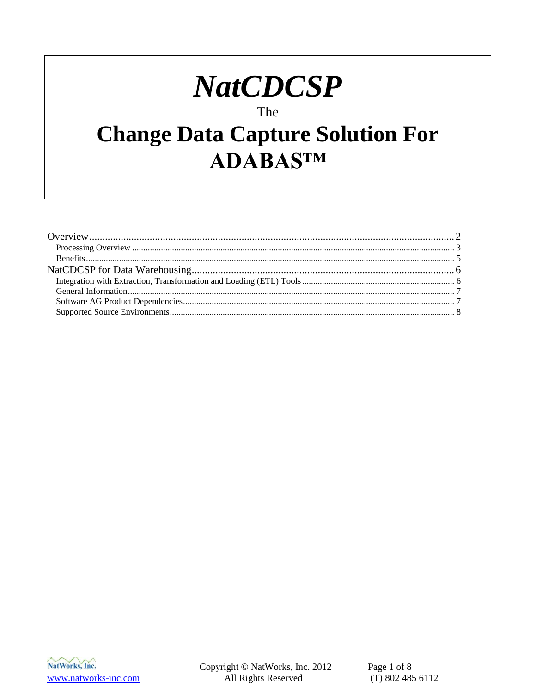# **NatCDCSP**

#### The

## **Change Data Capture Solution For** ADABASTM

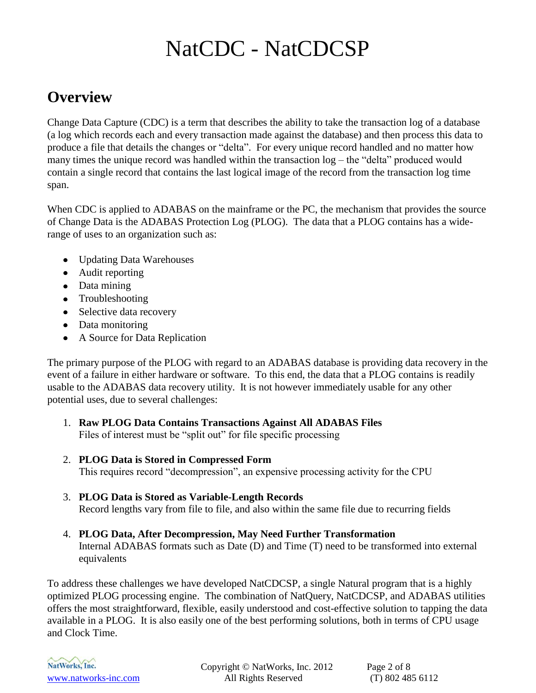### <span id="page-1-0"></span>**Overview**

Change Data Capture (CDC) is a term that describes the ability to take the transaction log of a database (a log which records each and every transaction made against the database) and then process this data to produce a file that details the changes or "delta". For every unique record handled and no matter how many times the unique record was handled within the transaction log – the "delta" produced would contain a single record that contains the last logical image of the record from the transaction log time span.

When CDC is applied to ADABAS on the mainframe or the PC, the mechanism that provides the source of Change Data is the ADABAS Protection Log (PLOG). The data that a PLOG contains has a widerange of uses to an organization such as:

- Updating Data Warehouses
- Audit reporting
- Data mining
- Troubleshooting
- Selective data recovery
- Data monitoring
- A Source for Data Replication

The primary purpose of the PLOG with regard to an ADABAS database is providing data recovery in the event of a failure in either hardware or software. To this end, the data that a PLOG contains is readily usable to the ADABAS data recovery utility. It is not however immediately usable for any other potential uses, due to several challenges:

- 1. **Raw PLOG Data Contains Transactions Against All ADABAS Files** Files of interest must be "split out" for file specific processing
- 2. **PLOG Data is Stored in Compressed Form** This requires record "decompression", an expensive processing activity for the CPU
- 3. **PLOG Data is Stored as Variable-Length Records** Record lengths vary from file to file, and also within the same file due to recurring fields
- 4. **PLOG Data, After Decompression, May Need Further Transformation** Internal ADABAS formats such as Date (D) and Time (T) need to be transformed into external equivalents

To address these challenges we have developed NatCDCSP, a single Natural program that is a highly optimized PLOG processing engine. The combination of NatQuery, NatCDCSP, and ADABAS utilities offers the most straightforward, flexible, easily understood and cost-effective solution to tapping the data available in a PLOG. It is also easily one of the best performing solutions, both in terms of CPU usage and Clock Time.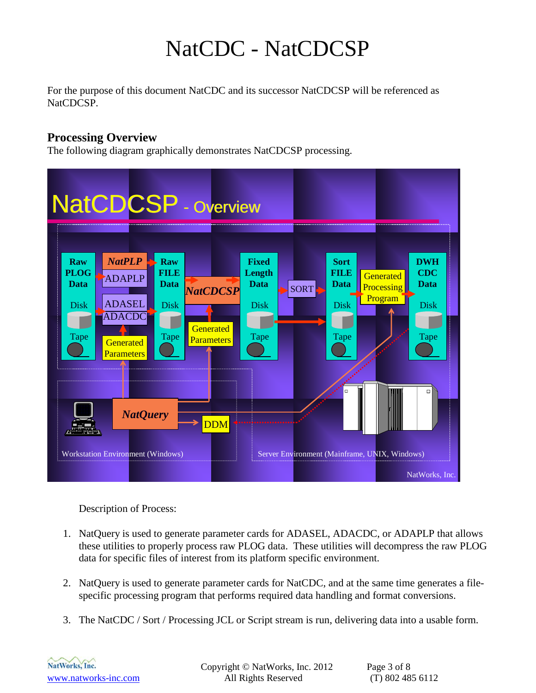For the purpose of this document NatCDC and its successor NatCDCSP will be referenced as NatCDCSP.

#### <span id="page-2-0"></span>**Processing Overview**

The following diagram graphically demonstrates NatCDCSP processing.



Description of Process:

- 1. NatQuery is used to generate parameter cards for ADASEL, ADACDC, or ADAPLP that allows these utilities to properly process raw PLOG data. These utilities will decompress the raw PLOG data for specific files of interest from its platform specific environment.
- 2. NatQuery is used to generate parameter cards for NatCDC, and at the same time generates a filespecific processing program that performs required data handling and format conversions.
- 3. The NatCDC / Sort / Processing JCL or Script stream is run, delivering data into a usable form.



Copyright © NatWorks, Inc. 2012 Page 3 of 8 www.natworks-inc.com All Rights Reserved (T) 802 485 6112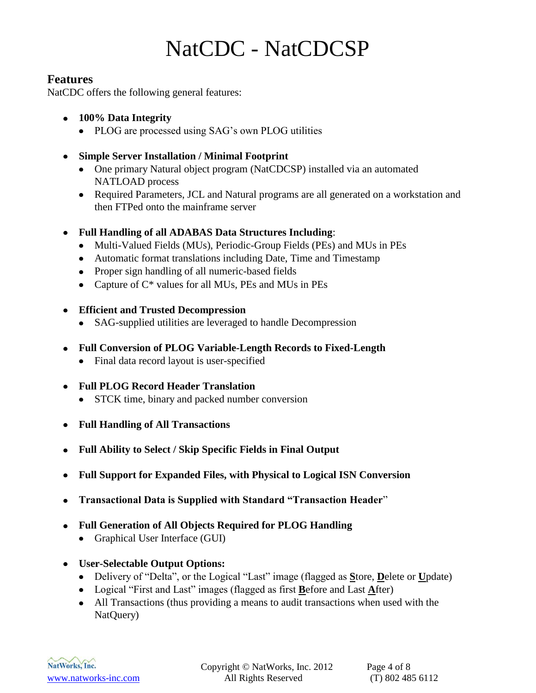#### **Features**

NatCDC offers the following general features:

- **100% Data Integrity**
	- PLOG are processed using SAG's own PLOG utilities
- **Simple Server Installation / Minimal Footprint**
	- One primary Natural object program (NatCDCSP) installed via an automated NATLOAD process
	- Required Parameters, JCL and Natural programs are all generated on a workstation and then FTPed onto the mainframe server
- **Full Handling of all ADABAS Data Structures Including**:
	- Multi-Valued Fields (MUs), Periodic-Group Fields (PEs) and MUs in PEs
	- Automatic format translations including Date, Time and Timestamp
	- Proper sign handling of all numeric-based fields
	- Capture of  $C^*$  values for all MUs, PEs and MUs in PEs
- **Efficient and Trusted Decompression**
	- SAG-supplied utilities are leveraged to handle Decompression
- **Full Conversion of PLOG Variable-Length Records to Fixed-Length** 
	- Final data record layout is user-specified
- **Full PLOG Record Header Translation**
	- STCK time, binary and packed number conversion
- **Full Handling of All Transactions**
- **Full Ability to Select / Skip Specific Fields in Final Output**
- **Full Support for Expanded Files, with Physical to Logical ISN Conversion**
- **Transactional Data is Supplied with Standard "Transaction Header**"
- **Full Generation of All Objects Required for PLOG Handling**
	- $\bullet$ Graphical User Interface (GUI)
- **User-Selectable Output Options:**
	- Delivery of "Delta", or the Logical "Last" image (flagged as **S**tore, **D**elete or **U**pdate)
	- Logical "First and Last" images (flagged as first **B**efore and Last **A**fter)
	- All Transactions (thus providing a means to audit transactions when used with the NatQuery)

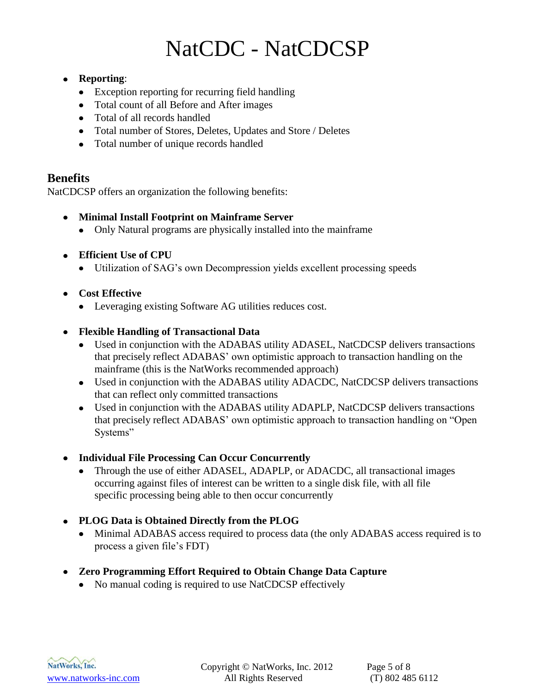#### **Reporting**:

- Exception reporting for recurring field handling
- Total count of all Before and After images
- Total of all records handled
- Total number of Stores, Deletes, Updates and Store / Deletes
- Total number of unique records handled

#### <span id="page-4-0"></span>**Benefits**

NatCDCSP offers an organization the following benefits:

- **Minimal Install Footprint on Mainframe Server**
	- Only Natural programs are physically installed into the mainframe
- **Efficient Use of CPU**
	- Utilization of SAG's own Decompression yields excellent processing speeds

#### **Cost Effective**

Leveraging existing Software AG utilities reduces cost.

#### **Flexible Handling of Transactional Data**

- Used in conjunction with the ADABAS utility ADASEL, NatCDCSP delivers transactions that precisely reflect ADABAS' own optimistic approach to transaction handling on the mainframe (this is the NatWorks recommended approach)
- Used in conjunction with the ADABAS utility ADACDC, NatCDCSP delivers transactions that can reflect only committed transactions
- Used in conjunction with the ADABAS utility ADAPLP, NatCDCSP delivers transactions that precisely reflect ADABAS' own optimistic approach to transaction handling on "Open Systems"
- **Individual File Processing Can Occur Concurrently**
	- Through the use of either ADASEL, ADAPLP, or ADACDC, all transactional images occurring against files of interest can be written to a single disk file, with all file specific processing being able to then occur concurrently
- **PLOG Data is Obtained Directly from the PLOG**
	- Minimal ADABAS access required to process data (the only ADABAS access required is to process a given file's FDT)
- <span id="page-4-1"></span>**Zero Programming Effort Required to Obtain Change Data Capture**
	- No manual coding is required to use NatCDCSP effectively

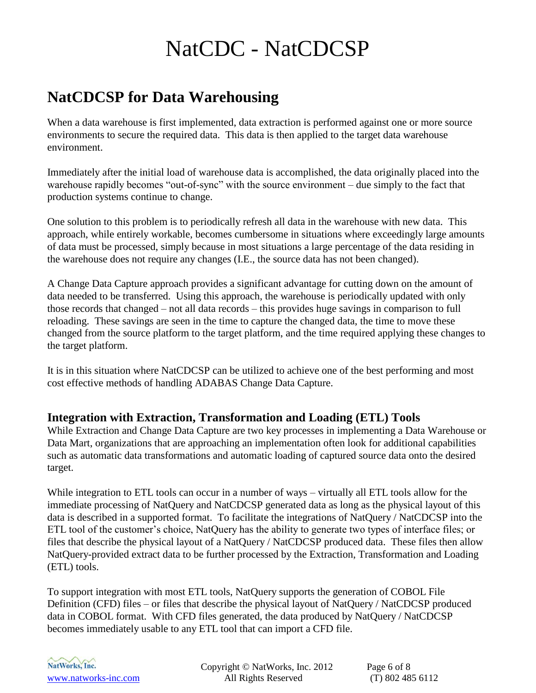### **NatCDCSP for Data Warehousing**

When a data warehouse is first implemented, data extraction is performed against one or more source environments to secure the required data. This data is then applied to the target data warehouse environment.

Immediately after the initial load of warehouse data is accomplished, the data originally placed into the warehouse rapidly becomes "out-of-sync" with the source environment – due simply to the fact that production systems continue to change.

One solution to this problem is to periodically refresh all data in the warehouse with new data. This approach, while entirely workable, becomes cumbersome in situations where exceedingly large amounts of data must be processed, simply because in most situations a large percentage of the data residing in the warehouse does not require any changes (I.E., the source data has not been changed).

A Change Data Capture approach provides a significant advantage for cutting down on the amount of data needed to be transferred. Using this approach, the warehouse is periodically updated with only those records that changed – not all data records – this provides huge savings in comparison to full reloading. These savings are seen in the time to capture the changed data, the time to move these changed from the source platform to the target platform, and the time required applying these changes to the target platform.

It is in this situation where NatCDCSP can be utilized to achieve one of the best performing and most cost effective methods of handling ADABAS Change Data Capture.

#### <span id="page-5-0"></span>**Integration with Extraction, Transformation and Loading (ETL) Tools**

While Extraction and Change Data Capture are two key processes in implementing a Data Warehouse or Data Mart, organizations that are approaching an implementation often look for additional capabilities such as automatic data transformations and automatic loading of captured source data onto the desired target.

While integration to ETL tools can occur in a number of ways – virtually all ETL tools allow for the immediate processing of NatQuery and NatCDCSP generated data as long as the physical layout of this data is described in a supported format. To facilitate the integrations of NatQuery / NatCDCSP into the ETL tool of the customer's choice, NatQuery has the ability to generate two types of interface files; or files that describe the physical layout of a NatQuery / NatCDCSP produced data. These files then allow NatQuery-provided extract data to be further processed by the Extraction, Transformation and Loading (ETL) tools.

To support integration with most ETL tools, NatQuery supports the generation of COBOL File Definition (CFD) files – or files that describe the physical layout of NatQuery / NatCDCSP produced data in COBOL format. With CFD files generated, the data produced by NatQuery / NatCDCSP becomes immediately usable to any ETL tool that can import a CFD file.



Copyright © NatWorks, Inc. 2012 Page 6 of 8 www.natworks-inc.com All Rights Reserved (T) 802 485 6112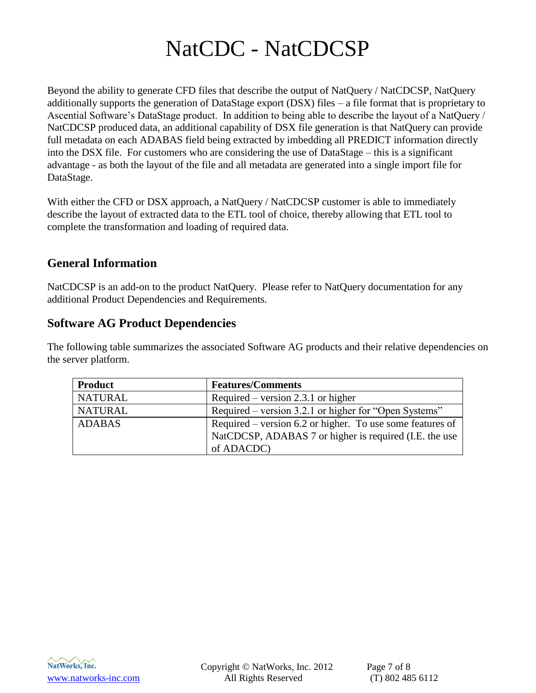Beyond the ability to generate CFD files that describe the output of NatQuery / NatCDCSP, NatQuery additionally supports the generation of DataStage export (DSX) files – a file format that is proprietary to Ascential Software's DataStage product. In addition to being able to describe the layout of a NatQuery / NatCDCSP produced data, an additional capability of DSX file generation is that NatQuery can provide full metadata on each ADABAS field being extracted by imbedding all PREDICT information directly into the DSX file. For customers who are considering the use of DataStage – this is a significant advantage - as both the layout of the file and all metadata are generated into a single import file for DataStage.

With either the CFD or DSX approach, a NatQuery / NatCDCSP customer is able to immediately describe the layout of extracted data to the ETL tool of choice, thereby allowing that ETL tool to complete the transformation and loading of required data.

#### <span id="page-6-0"></span>**General Information**

NatCDCSP is an add-on to the product NatQuery. Please refer to NatQuery documentation for any additional Product Dependencies and Requirements.

#### <span id="page-6-1"></span>**Software AG Product Dependencies**

The following table summarizes the associated Software AG products and their relative dependencies on the server platform.

| <b>Product</b> | <b>Features/Comments</b>                                  |
|----------------|-----------------------------------------------------------|
| <b>NATURAL</b> | Required – version 2.3.1 or higher                        |
| <b>NATURAL</b> | Required – version 3.2.1 or higher for "Open Systems"     |
| <b>ADABAS</b>  | Required – version 6.2 or higher. To use some features of |
|                | NatCDCSP, ADABAS 7 or higher is required (I.E. the use    |
|                | of ADACDC)                                                |